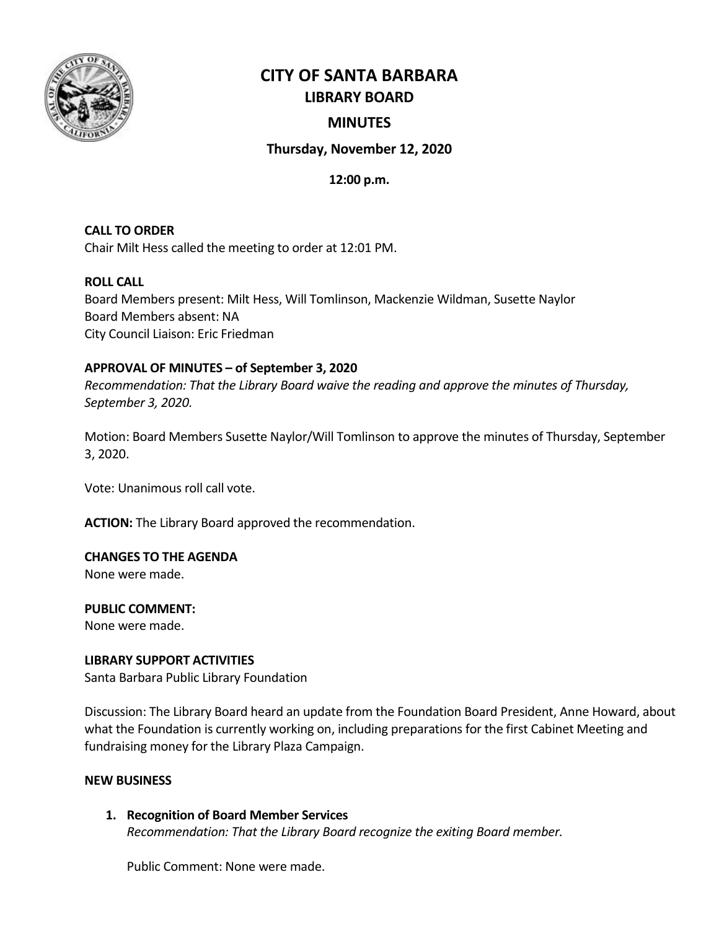

# **CITY OF SANTA BARBARA LIBRARY BOARD**

# **MINUTES**

# **Thursday, November 12, 2020**

**12:00 p.m.**

**CALL TO ORDER** Chair Milt Hess called the meeting to order at 12:01 PM.

# **ROLL CALL**

Board Members present: Milt Hess, Will Tomlinson, Mackenzie Wildman, Susette Naylor Board Members absent: NA City Council Liaison: Eric Friedman

# **APPROVAL OF MINUTES – of September 3, 2020**

*Recommendation: That the Library Board waive the reading and approve the minutes of Thursday, September 3, 2020.*

Motion: Board Members Susette Naylor/Will Tomlinson to approve the minutes of Thursday, September 3, 2020.

Vote: Unanimous roll call vote.

**ACTION:** The Library Board approved the recommendation.

# **CHANGES TO THE AGENDA**

None were made.

# **PUBLIC COMMENT:**

None were made.

# **LIBRARY SUPPORT ACTIVITIES**

Santa Barbara Public Library Foundation

Discussion: The Library Board heard an update from the Foundation Board President, Anne Howard, about what the Foundation is currently working on, including preparations for the first Cabinet Meeting and fundraising money for the Library Plaza Campaign.

# **NEW BUSINESS**

**1. Recognition of Board Member Services** *Recommendation: That the Library Board recognize the exiting Board member.*

Public Comment: None were made.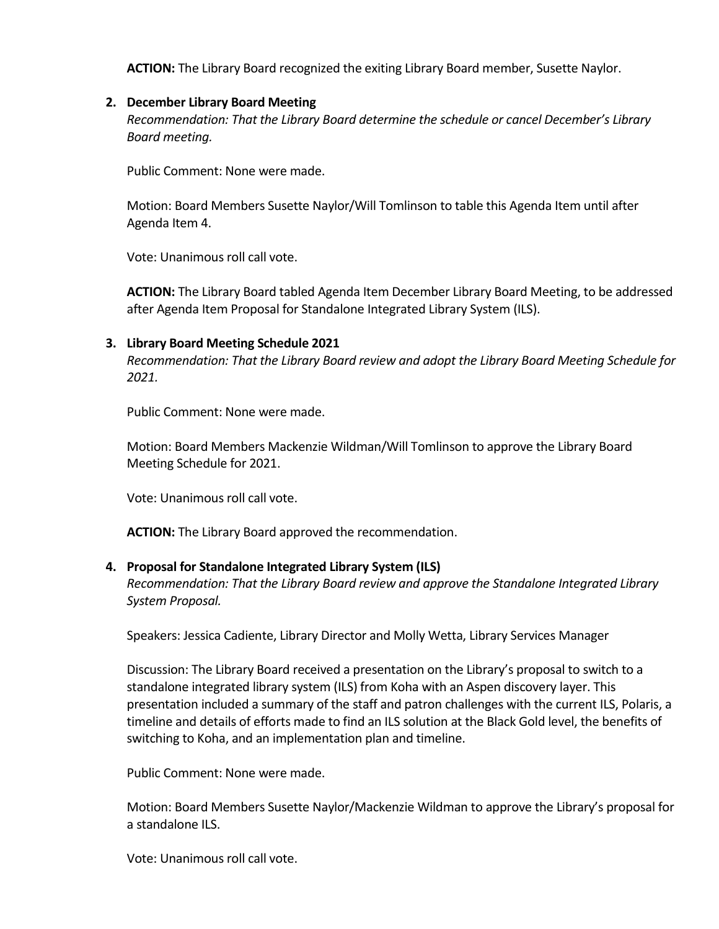**ACTION:** The Library Board recognized the exiting Library Board member, Susette Naylor.

## **2. December Library Board Meeting**

*Recommendation: That the Library Board determine the schedule or cancel December's Library Board meeting.*

Public Comment: None were made.

Motion: Board Members Susette Naylor/Will Tomlinson to table this Agenda Item until after Agenda Item 4.

Vote: Unanimous roll call vote.

**ACTION:** The Library Board tabled Agenda Item December Library Board Meeting, to be addressed after Agenda Item Proposal for Standalone Integrated Library System (ILS).

## **3. Library Board Meeting Schedule 2021**

*Recommendation: That the Library Board review and adopt the Library Board Meeting Schedule for 2021.*

Public Comment: None were made.

Motion: Board Members Mackenzie Wildman/Will Tomlinson to approve the Library Board Meeting Schedule for 2021.

Vote: Unanimous roll call vote.

**ACTION:** The Library Board approved the recommendation.

## **4. Proposal for Standalone Integrated Library System (ILS)**

*Recommendation: That the Library Board review and approve the Standalone Integrated Library System Proposal.*

Speakers: Jessica Cadiente, Library Director and Molly Wetta, Library Services Manager

Discussion: The Library Board received a presentation on the Library's proposal to switch to a standalone integrated library system (ILS) from Koha with an Aspen discovery layer. This presentation included a summary of the staff and patron challenges with the current ILS, Polaris, a timeline and details of efforts made to find an ILS solution at the Black Gold level, the benefits of switching to Koha, and an implementation plan and timeline.

Public Comment: None were made.

Motion: Board Members Susette Naylor/Mackenzie Wildman to approve the Library's proposal for a standalone ILS.

Vote: Unanimous roll call vote.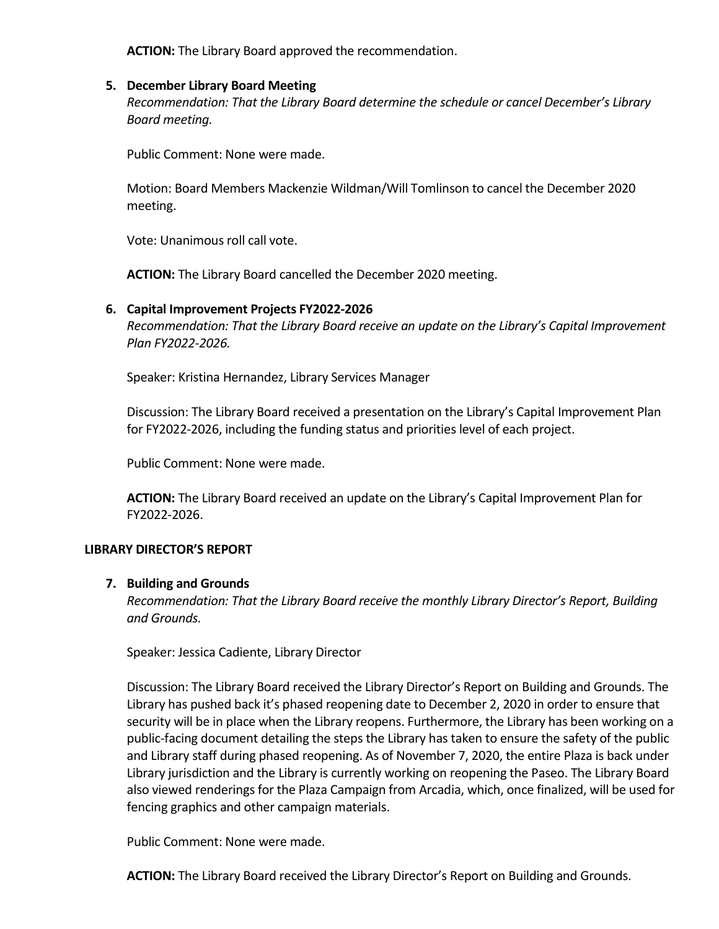**ACTION:** The Library Board approved the recommendation.

## **5. December Library Board Meeting**

*Recommendation: That the Library Board determine the schedule or cancel December's Library Board meeting.*

Public Comment: None were made.

Motion: Board Members Mackenzie Wildman/Will Tomlinson to cancel the December 2020 meeting.

Vote: Unanimous roll call vote.

**ACTION:** The Library Board cancelled the December 2020 meeting.

## **6. Capital Improvement Projects FY2022-2026**

*Recommendation: That the Library Board receive an update on the Library's Capital Improvement Plan FY2022-2026.*

Speaker: Kristina Hernandez, Library Services Manager

Discussion: The Library Board received a presentation on the Library's Capital Improvement Plan for FY2022-2026, including the funding status and priorities level of each project.

Public Comment: None were made.

**ACTION:** The Library Board received an update on the Library's Capital Improvement Plan for FY2022-2026.

#### **LIBRARY DIRECTOR'S REPORT**

#### **7. Building and Grounds**

*Recommendation: That the Library Board receive the monthly Library Director's Report, Building and Grounds.*

Speaker: Jessica Cadiente, Library Director

Discussion: The Library Board received the Library Director's Report on Building and Grounds. The Library has pushed back it's phased reopening date to December 2, 2020 in order to ensure that security will be in place when the Library reopens. Furthermore, the Library has been working on a public-facing document detailing the steps the Library has taken to ensure the safety of the public and Library staff during phased reopening. As of November 7, 2020, the entire Plaza is back under Library jurisdiction and the Library is currently working on reopening the Paseo. The Library Board also viewed renderings for the Plaza Campaign from Arcadia, which, once finalized, will be used for fencing graphics and other campaign materials.

Public Comment: None were made.

**ACTION:** The Library Board received the Library Director's Report on Building and Grounds.